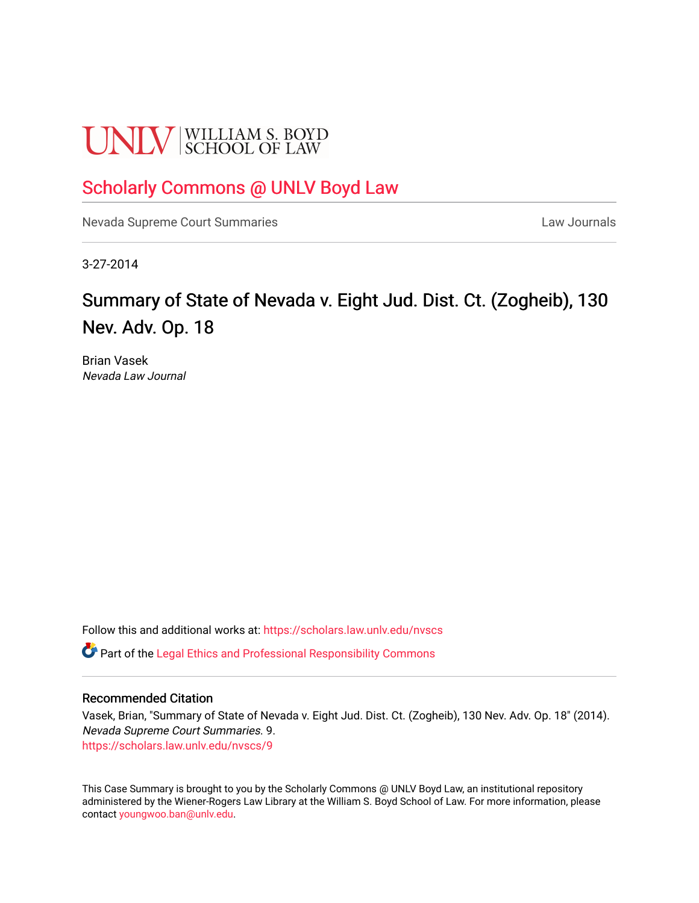# **UNLV** SCHOOL OF LAW

### [Scholarly Commons @ UNLV Boyd Law](https://scholars.law.unlv.edu/)

[Nevada Supreme Court Summaries](https://scholars.law.unlv.edu/nvscs) **Law Journals** Law Journals

3-27-2014

## Summary of State of Nevada v. Eight Jud. Dist. Ct. (Zogheib), 130 Nev. Adv. Op. 18

Brian Vasek Nevada Law Journal

Follow this and additional works at: [https://scholars.law.unlv.edu/nvscs](https://scholars.law.unlv.edu/nvscs?utm_source=scholars.law.unlv.edu%2Fnvscs%2F9&utm_medium=PDF&utm_campaign=PDFCoverPages)

**C** Part of the [Legal Ethics and Professional Responsibility Commons](http://network.bepress.com/hgg/discipline/895?utm_source=scholars.law.unlv.edu%2Fnvscs%2F9&utm_medium=PDF&utm_campaign=PDFCoverPages)

#### Recommended Citation

Vasek, Brian, "Summary of State of Nevada v. Eight Jud. Dist. Ct. (Zogheib), 130 Nev. Adv. Op. 18" (2014). Nevada Supreme Court Summaries. 9. [https://scholars.law.unlv.edu/nvscs/9](https://scholars.law.unlv.edu/nvscs/9?utm_source=scholars.law.unlv.edu%2Fnvscs%2F9&utm_medium=PDF&utm_campaign=PDFCoverPages) 

This Case Summary is brought to you by the Scholarly Commons @ UNLV Boyd Law, an institutional repository administered by the Wiener-Rogers Law Library at the William S. Boyd School of Law. For more information, please contact [youngwoo.ban@unlv.edu](mailto:youngwoo.ban@unlv.edu).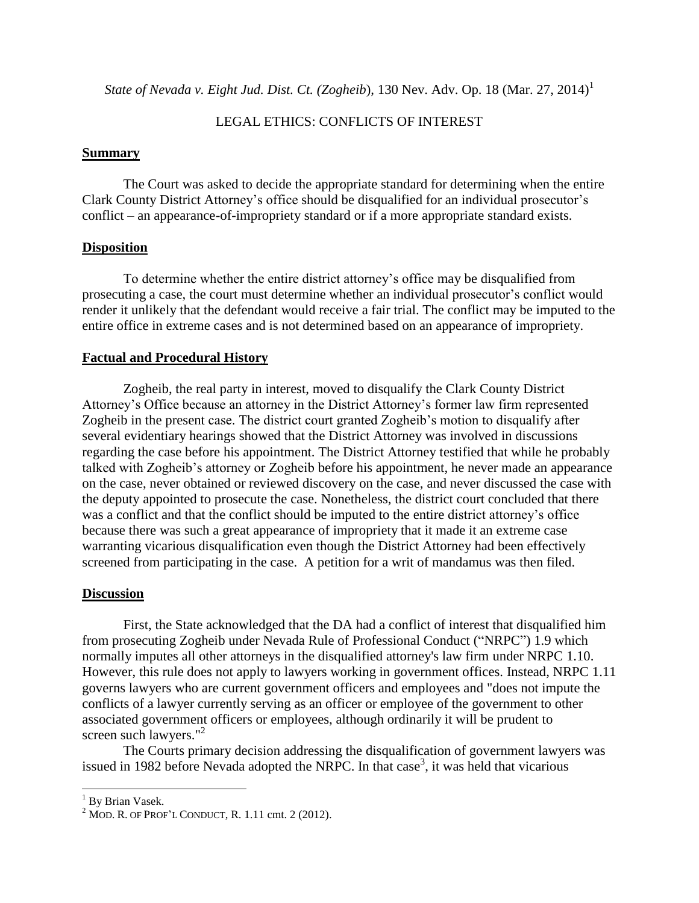*State of Nevada v. Eight Jud. Dist. Ct. (Zogheib*), 130 Nev. Adv. Op. 18 (Mar. 27, 2014) 1

#### LEGAL ETHICS: CONFLICTS OF INTEREST

#### **Summary**

The Court was asked to decide the appropriate standard for determining when the entire Clark County District Attorney's office should be disqualified for an individual prosecutor's conflict – an appearance-of-impropriety standard or if a more appropriate standard exists.

#### **Disposition**

To determine whether the entire district attorney's office may be disqualified from prosecuting a case, the court must determine whether an individual prosecutor's conflict would render it unlikely that the defendant would receive a fair trial. The conflict may be imputed to the entire office in extreme cases and is not determined based on an appearance of impropriety.

#### **Factual and Procedural History**

Zogheib, the real party in interest, moved to disqualify the Clark County District Attorney's Office because an attorney in the District Attorney's former law firm represented Zogheib in the present case. The district court granted Zogheib's motion to disqualify after several evidentiary hearings showed that the District Attorney was involved in discussions regarding the case before his appointment. The District Attorney testified that while he probably talked with Zogheib's attorney or Zogheib before his appointment, he never made an appearance on the case, never obtained or reviewed discovery on the case, and never discussed the case with the deputy appointed to prosecute the case. Nonetheless, the district court concluded that there was a conflict and that the conflict should be imputed to the entire district attorney's office because there was such a great appearance of impropriety that it made it an extreme case warranting vicarious disqualification even though the District Attorney had been effectively screened from participating in the case. A petition for a writ of mandamus was then filed.

#### **Discussion**

First, the State acknowledged that the DA had a conflict of interest that disqualified him from prosecuting Zogheib under Nevada Rule of Professional Conduct ("NRPC") 1.9 which normally imputes all other attorneys in the disqualified attorney's law firm under NRPC 1.10. However, this rule does not apply to lawyers working in government offices. Instead, NRPC 1.11 governs lawyers who are current government officers and employees and "does not impute the conflicts of a lawyer currently serving as an officer or employee of the government to other associated government officers or employees, although ordinarily it will be prudent to screen such lawyers."<sup>2</sup>

The Courts primary decision addressing the disqualification of government lawyers was issued in 1982 before Nevada adopted the NRPC. In that case<sup>3</sup>, it was held that vicarious

l

<sup>&</sup>lt;sup>1</sup> By Brian Vasek.

 $2$  MOD. R. OF PROF'L CONDUCT, R. 1.11 cmt. 2 (2012).